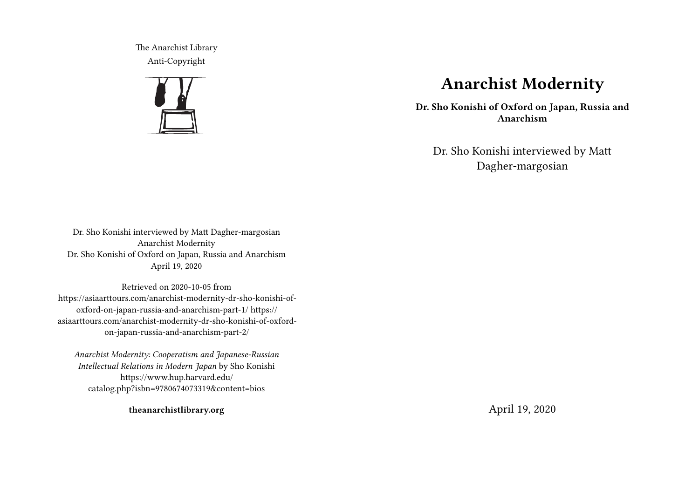The Anarchist Library Anti-Copyright



# **Anarchist Modernity**

**Dr. Sho Konishi of Oxford on Japan, Russia and Anarchism**

Dr. Sho Konishi interviewed by Matt Dagher-margosian

Dr. Sho Konishi interviewed by Matt Dagher-margosian Anarchist Modernity Dr. Sho Konishi of Oxford on Japan, Russia and Anarchism April 19, 2020

Retrieved on 2020-10-05 from https://asiaarttours.com/anarchist-modernity-dr-sho-konishi-ofoxford-on-japan-russia-and-anarchism-part-1/ https:// asiaarttours.com/anarchist-modernity-dr-sho-konishi-of-oxfordon-japan-russia-and-anarchism-part-2/

*Anarchist Modernity: Cooperatism and Japanese-Russian Intellectual Relations in Modern Japan* by Sho Konishi https://www.hup.harvard.edu/ catalog.php?isbn=9780674073319&content=bios

**theanarchistlibrary.org**

April 19, 2020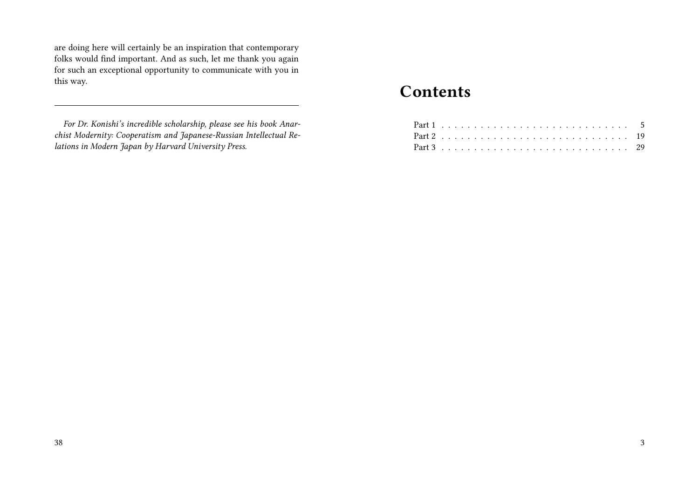are doing here will certainly be an inspiration that contemporary folks would find important. And as such, let me thank you again for such an exceptional opportunity to communicate with you in this way.

# **Contents**

*For Dr. Konishi's incredible scholarship, please see his book Anarchist Modernity: Cooperatism and Japanese-Russian Intellectual Relations in Modern Japan by Harvard University Press.*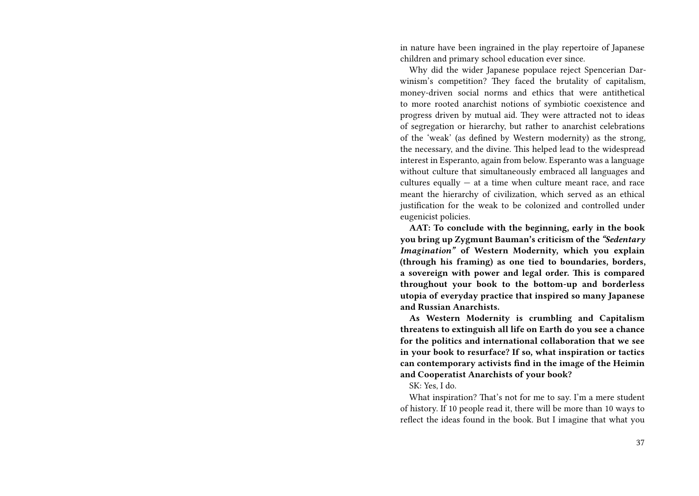in nature have been ingrained in the play repertoire of Japanese children and primary school education ever since.

Why did the wider Japanese populace reject Spencerian Darwinism's competition? They faced the brutality of capitalism, money-driven social norms and ethics that were antithetical to more rooted anarchist notions of symbiotic coexistence and progress driven by mutual aid. They were attracted not to ideas of segregation or hierarchy, but rather to anarchist celebrations of the 'weak' (as defined by Western modernity) as the strong, the necessary, and the divine. This helped lead to the widespread interest in Esperanto, again from below. Esperanto was a language without culture that simultaneously embraced all languages and cultures equally  $-$  at a time when culture meant race, and race meant the hierarchy of civilization, which served as an ethical justification for the weak to be colonized and controlled under eugenicist policies.

**AAT: To conclude with the beginning, early in the book you bring up Zygmunt Bauman's criticism of the** *"Sedentary Imagination"* **of Western Modernity, which you explain (through his framing) as one tied to boundaries, borders, a sovereign with power and legal order. This is compared throughout your book to the bottom-up and borderless utopia of everyday practice that inspired so many Japanese and Russian Anarchists.**

**As Western Modernity is crumbling and Capitalism threatens to extinguish all life on Earth do you see a chance for the politics and international collaboration that we see in your book to resurface? If so, what inspiration or tactics can contemporary activists find in the image of the Heimin and Cooperatist Anarchists of your book?**

#### SK: Yes, I do.

What inspiration? That's not for me to say. I'm a mere student of history. If 10 people read it, there will be more than 10 ways to reflect the ideas found in the book. But I imagine that what you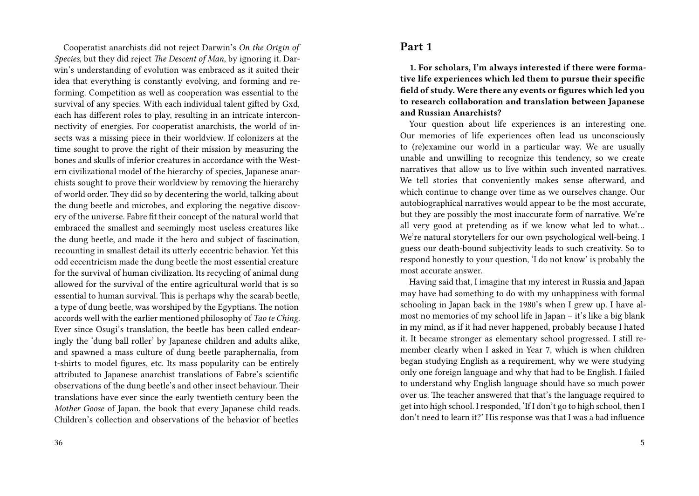Cooperatist anarchists did not reject Darwin's *On the Origin of Species*, but they did reject *The Descent of Man*, by ignoring it. Darwin's understanding of evolution was embraced as it suited their idea that everything is constantly evolving, and forming and reforming. Competition as well as cooperation was essential to the survival of any species. With each individual talent gifted by Gxd, each has different roles to play, resulting in an intricate interconnectivity of energies. For cooperatist anarchists, the world of insects was a missing piece in their worldview. If colonizers at the time sought to prove the right of their mission by measuring the bones and skulls of inferior creatures in accordance with the Western civilizational model of the hierarchy of species, Japanese anarchists sought to prove their worldview by removing the hierarchy of world order. They did so by decentering the world, talking about the dung beetle and microbes, and exploring the negative discovery of the universe. Fabre fit their concept of the natural world that embraced the smallest and seemingly most useless creatures like the dung beetle, and made it the hero and subject of fascination, recounting in smallest detail its utterly eccentric behavior. Yet this odd eccentricism made the dung beetle the most essential creature for the survival of human civilization. Its recycling of animal dung allowed for the survival of the entire agricultural world that is so essential to human survival. This is perhaps why the scarab beetle, a type of dung beetle, was worshiped by the Egyptians. The notion accords well with the earlier mentioned philosophy of *Tao te Ching*. Ever since Osugi's translation, the beetle has been called endearingly the 'dung ball roller' by Japanese children and adults alike, and spawned a mass culture of dung beetle paraphernalia, from t-shirts to model figures, etc. Its mass popularity can be entirely attributed to Japanese anarchist translations of Fabre's scientific observations of the dung beetle's and other insect behaviour. Their translations have ever since the early twentieth century been the *Mother Goose* of Japan, the book that every Japanese child reads. Children's collection and observations of the behavior of beetles

### **Part 1**

**1. For scholars, I'm always interested if there were formative life experiences which led them to pursue their specific field of study. Were there any events or figures which led you to research collaboration and translation between Japanese and Russian Anarchists?**

Your question about life experiences is an interesting one. Our memories of life experiences often lead us unconsciously to (re)examine our world in a particular way. We are usually unable and unwilling to recognize this tendency, so we create narratives that allow us to live within such invented narratives. We tell stories that conveniently makes sense afterward, and which continue to change over time as we ourselves change. Our autobiographical narratives would appear to be the most accurate, but they are possibly the most inaccurate form of narrative. We're all very good at pretending as if we know what led to what… We're natural storytellers for our own psychological well-being. I guess our death-bound subjectivity leads to such creativity. So to respond honestly to your question, 'I do not know' is probably the most accurate answer.

Having said that, I imagine that my interest in Russia and Japan may have had something to do with my unhappiness with formal schooling in Japan back in the 1980's when I grew up. I have almost no memories of my school life in Japan – it's like a big blank in my mind, as if it had never happened, probably because I hated it. It became stronger as elementary school progressed. I still remember clearly when I asked in Year 7, which is when children began studying English as a requirement, why we were studying only one foreign language and why that had to be English. I failed to understand why English language should have so much power over us. The teacher answered that that's the language required to get into high school. I responded, 'If I don't go to high school, then I don't need to learn it?' His response was that I was a bad influence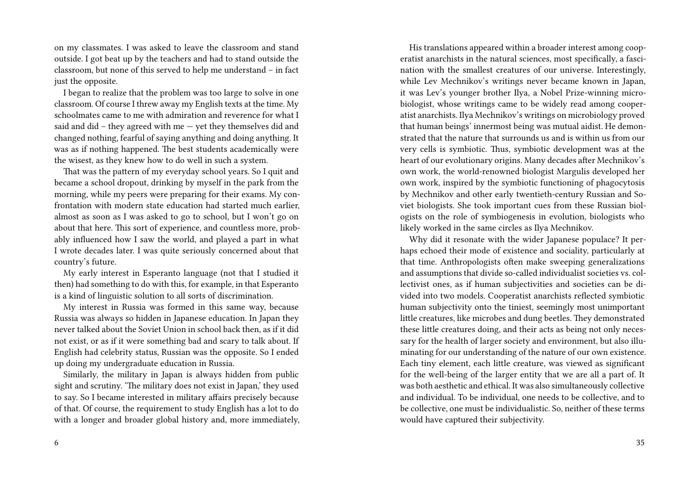on my classmates. I was asked to leave the classroom and stand outside. I got beat up by the teachers and had to stand outside the classroom, but none of this served to help me understand – in fact just the opposite.

I began to realize that the problem was too large to solve in one classroom. Of course I threw away my English texts at the time. My schoolmates came to me with admiration and reverence for what I said and did – they agreed with me — yet they themselves did and changed nothing, fearful of saying anything and doing anything. It was as if nothing happened. The best students academically were the wisest, as they knew how to do well in such a system.

That was the pattern of my everyday school years. So I quit and became a school dropout, drinking by myself in the park from the morning, while my peers were preparing for their exams. My confrontation with modern state education had started much earlier, almost as soon as I was asked to go to school, but I won't go on about that here. This sort of experience, and countless more, probably influenced how I saw the world, and played a part in what I wrote decades later. I was quite seriously concerned about that country's future.

My early interest in Esperanto language (not that I studied it then) had something to do with this, for example, in that Esperanto is a kind of linguistic solution to all sorts of discrimination.

My interest in Russia was formed in this same way, because Russia was always so hidden in Japanese education. In Japan they never talked about the Soviet Union in school back then, as if it did not exist, or as if it were something bad and scary to talk about. If English had celebrity status, Russian was the opposite. So I ended up doing my undergraduate education in Russia.

Similarly, the military in Japan is always hidden from public sight and scrutiny. 'The military does not exist in Japan,' they used to say. So I became interested in military affairs precisely because of that. Of course, the requirement to study English has a lot to do with a longer and broader global history and, more immediately,

His translations appeared within a broader interest among cooperatist anarchists in the natural sciences, most specifically, a fascination with the smallest creatures of our universe. Interestingly, while Lev Mechnikov's writings never became known in Japan, it was Lev's younger brother Ilya, a Nobel Prize-winning microbiologist, whose writings came to be widely read among cooperatist anarchists. Ilya Mechnikov's writings on microbiology proved that human beings' innermost being was mutual aidist. He demonstrated that the nature that surrounds us and is within us from our very cells is symbiotic. Thus, symbiotic development was at the heart of our evolutionary origins. Many decades after Mechnikov's own work, the world-renowned biologist Margulis developed her own work, inspired by the symbiotic functioning of phagocytosis by Mechnikov and other early twentieth-century Russian and Soviet biologists. She took important cues from these Russian biologists on the role of symbiogenesis in evolution, biologists who likely worked in the same circles as Ilya Mechnikov.

Why did it resonate with the wider Japanese populace? It perhaps echoed their mode of existence and sociality, particularly at that time. Anthropologists often make sweeping generalizations and assumptions that divide so-called individualist societies vs. collectivist ones, as if human subjectivities and societies can be divided into two models. Cooperatist anarchists reflected symbiotic human subjectivity onto the tiniest, seemingly most unimportant little creatures, like microbes and dung beetles. They demonstrated these little creatures doing, and their acts as being not only necessary for the health of larger society and environment, but also illuminating for our understanding of the nature of our own existence. Each tiny element, each little creature, was viewed as significant for the well-being of the larger entity that we are all a part of. It was both aesthetic and ethical. It was also simultaneously collective and individual. To be individual, one needs to be collective, and to be collective, one must be individualistic. So, neither of these terms would have captured their subjectivity.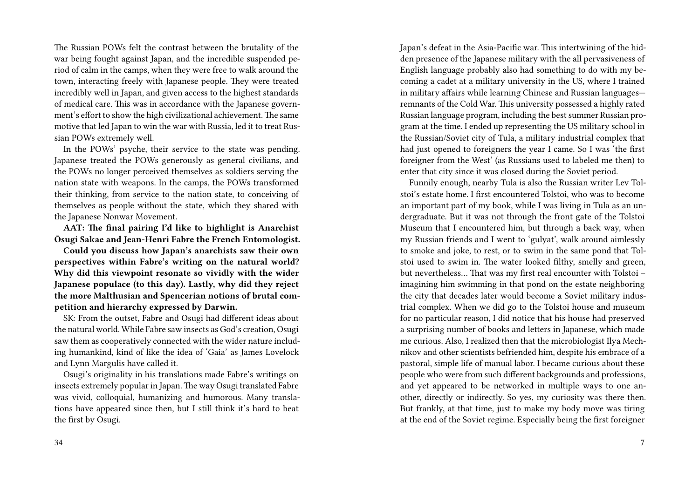The Russian POWs felt the contrast between the brutality of the war being fought against Japan, and the incredible suspended period of calm in the camps, when they were free to walk around the town, interacting freely with Japanese people. They were treated incredibly well in Japan, and given access to the highest standards of medical care. This was in accordance with the Japanese government's effort to show the high civilizational achievement. The same motive that led Japan to win the war with Russia, led it to treat Russian POWs extremely well.

In the POWs' psyche, their service to the state was pending. Japanese treated the POWs generously as general civilians, and the POWs no longer perceived themselves as soldiers serving the nation state with weapons. In the camps, the POWs transformed their thinking, from service to the nation state, to conceiving of themselves as people without the state, which they shared with the Japanese Nonwar Movement.

**AAT: The final pairing I'd like to highlight is Anarchist Ōsugi Sakae and Jean-Henri Fabre the French Entomologist.**

**Could you discuss how Japan's anarchists saw their own perspectives within Fabre's writing on the natural world? Why did this viewpoint resonate so vividly with the wider Japanese populace (to this day). Lastly, why did they reject the more Malthusian and Spencerian notions of brutal competition and hierarchy expressed by Darwin.**

SK: From the outset, Fabre and Osugi had different ideas about the natural world. While Fabre saw insects as God's creation, Osugi saw them as cooperatively connected with the wider nature including humankind, kind of like the idea of 'Gaia' as James Lovelock and Lynn Margulis have called it.

Osugi's originality in his translations made Fabre's writings on insects extremely popular in Japan. The way Osugi translated Fabre was vivid, colloquial, humanizing and humorous. Many translations have appeared since then, but I still think it's hard to beat the first by Osugi.

Japan's defeat in the Asia-Pacific war. This intertwining of the hidden presence of the Japanese military with the all pervasiveness of English language probably also had something to do with my becoming a cadet at a military university in the US, where I trained in military affairs while learning Chinese and Russian languages remnants of the Cold War. This university possessed a highly rated Russian language program, including the best summer Russian program at the time. I ended up representing the US military school in the Russian/Soviet city of Tula, a military industrial complex that had just opened to foreigners the year I came. So I was 'the first foreigner from the West' (as Russians used to labeled me then) to enter that city since it was closed during the Soviet period.

Funnily enough, nearby Tula is also the Russian writer Lev Tolstoi's estate home. I first encountered Tolstoi, who was to become an important part of my book, while I was living in Tula as an undergraduate. But it was not through the front gate of the Tolstoi Museum that I encountered him, but through a back way, when my Russian friends and I went to 'gulyat', walk around aimlessly to smoke and joke, to rest, or to swim in the same pond that Tolstoi used to swim in. The water looked filthy, smelly and green, but nevertheless… That was my first real encounter with Tolstoi – imagining him swimming in that pond on the estate neighboring the city that decades later would become a Soviet military industrial complex. When we did go to the Tolstoi house and museum for no particular reason, I did notice that his house had preserved a surprising number of books and letters in Japanese, which made me curious. Also, I realized then that the microbiologist Ilya Mechnikov and other scientists befriended him, despite his embrace of a pastoral, simple life of manual labor. I became curious about these people who were from such different backgrounds and professions, and yet appeared to be networked in multiple ways to one another, directly or indirectly. So yes, my curiosity was there then. But frankly, at that time, just to make my body move was tiring at the end of the Soviet regime. Especially being the first foreigner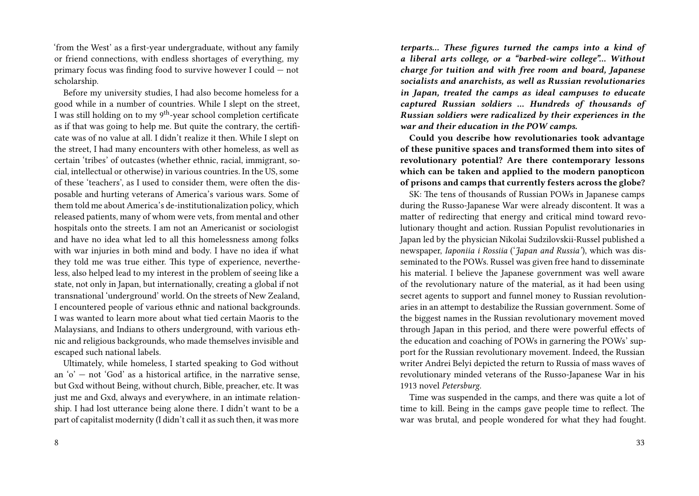'from the West' as a first-year undergraduate, without any family or friend connections, with endless shortages of everything, my primary focus was finding food to survive however I could — not scholarship.

Before my university studies, I had also become homeless for a good while in a number of countries. While I slept on the street, I was still holding on to my 9th-year school completion certificate as if that was going to help me. But quite the contrary, the certificate was of no value at all. I didn't realize it then. While I slept on the street, I had many encounters with other homeless, as well as certain 'tribes' of outcastes (whether ethnic, racial, immigrant, social, intellectual or otherwise) in various countries. In the US, some of these 'teachers', as I used to consider them, were often the disposable and hurting veterans of America's various wars. Some of them told me about America's de-institutionalization policy, which released patients, many of whom were vets, from mental and other hospitals onto the streets. I am not an Americanist or sociologist and have no idea what led to all this homelessness among folks with war injuries in both mind and body. I have no idea if what they told me was true either. This type of experience, nevertheless, also helped lead to my interest in the problem of seeing like a state, not only in Japan, but internationally, creating a global if not transnational 'underground' world. On the streets of New Zealand, I encountered people of various ethnic and national backgrounds. I was wanted to learn more about what tied certain Maoris to the Malaysians, and Indians to others underground, with various ethnic and religious backgrounds, who made themselves invisible and escaped such national labels.

Ultimately, while homeless, I started speaking to God without an  $\alpha'$  – not 'God' as a historical artifice, in the narrative sense, but Gxd without Being, without church, Bible, preacher, etc. It was just me and Gxd, always and everywhere, in an intimate relationship. I had lost utterance being alone there. I didn't want to be a part of capitalist modernity (I didn't call it as such then, it was more

*terparts… These figures turned the camps into a kind of a liberal arts college, or a "barbed-wire college"… Without charge for tuition and with free room and board, Japanese socialists and anarchists, as well as Russian revolutionaries in Japan, treated the camps as ideal campuses to educate captured Russian soldiers … Hundreds of thousands of Russian soldiers were radicalized by their experiences in the war and their education in the POW camps.*

**Could you describe how revolutionaries took advantage of these punitive spaces and transformed them into sites of revolutionary potential? Are there contemporary lessons which can be taken and applied to the modern panopticon of prisons and camps that currently festers across the globe?**

SK: The tens of thousands of Russian POWs in Japanese camps during the Russo-Japanese War were already discontent. It was a matter of redirecting that energy and critical mind toward revolutionary thought and action. Russian Populist revolutionaries in Japan led by the physician Nikolai Sudzilovskii-Russel published a newspaper, *Iaponiia i Rossiia* ('*Japan and Russia'*), which was disseminated to the POWs. Russel was given free hand to disseminate his material. I believe the Japanese government was well aware of the revolutionary nature of the material, as it had been using secret agents to support and funnel money to Russian revolutionaries in an attempt to destabilize the Russian government. Some of the biggest names in the Russian revolutionary movement moved through Japan in this period, and there were powerful effects of the education and coaching of POWs in garnering the POWs' support for the Russian revolutionary movement. Indeed, the Russian writer Andrei Belyi depicted the return to Russia of mass waves of revolutionary minded veterans of the Russo-Japanese War in his 1913 novel *Petersburg*.

Time was suspended in the camps, and there was quite a lot of time to kill. Being in the camps gave people time to reflect. The war was brutal, and people wondered for what they had fought.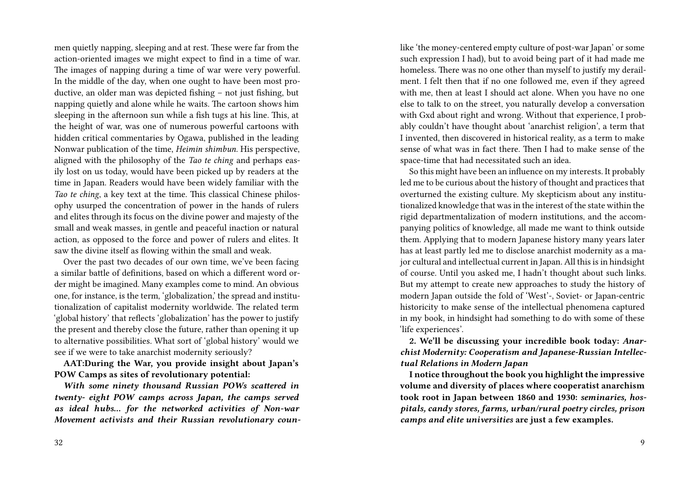men quietly napping, sleeping and at rest. These were far from the action-oriented images we might expect to find in a time of war. The images of napping during a time of war were very powerful. In the middle of the day, when one ought to have been most productive, an older man was depicted fishing – not just fishing, but napping quietly and alone while he waits. The cartoon shows him sleeping in the afternoon sun while a fish tugs at his line. This, at the height of war, was one of numerous powerful cartoons with hidden critical commentaries by Ogawa, published in the leading Nonwar publication of the time, *Heimin shimbun*. His perspective, aligned with the philosophy of the *Tao te ching* and perhaps easily lost on us today, would have been picked up by readers at the time in Japan. Readers would have been widely familiar with the *Tao te ching*, a key text at the time. This classical Chinese philosophy usurped the concentration of power in the hands of rulers and elites through its focus on the divine power and majesty of the small and weak masses, in gentle and peaceful inaction or natural action, as opposed to the force and power of rulers and elites. It saw the divine itself as flowing within the small and weak.

Over the past two decades of our own time, we've been facing a similar battle of definitions, based on which a different word order might be imagined. Many examples come to mind. An obvious one, for instance, is the term, 'globalization,' the spread and institutionalization of capitalist modernity worldwide. The related term 'global history' that reflects 'globalization' has the power to justify the present and thereby close the future, rather than opening it up to alternative possibilities. What sort of 'global history' would we see if we were to take anarchist modernity seriously?

**AAT:During the War, you provide insight about Japan's POW Camps as sites of revolutionary potential:**

*With some ninety thousand Russian POWs scattered in twenty- eight POW camps across Japan, the camps served as ideal hubs… for the networked activities of Non-war Movement activists and their Russian revolutionary coun-*

like 'the money-centered empty culture of post-war Japan' or some such expression I had), but to avoid being part of it had made me homeless. There was no one other than myself to justify my derailment. I felt then that if no one followed me, even if they agreed with me, then at least I should act alone. When you have no one else to talk to on the street, you naturally develop a conversation with Gxd about right and wrong. Without that experience, I probably couldn't have thought about 'anarchist religion', a term that I invented, then discovered in historical reality, as a term to make sense of what was in fact there. Then I had to make sense of the space-time that had necessitated such an idea.

So this might have been an influence on my interests. It probably led me to be curious about the history of thought and practices that overturned the existing culture. My skepticism about any institutionalized knowledge that was in the interest of the state within the rigid departmentalization of modern institutions, and the accompanying politics of knowledge, all made me want to think outside them. Applying that to modern Japanese history many years later has at least partly led me to disclose anarchist modernity as a major cultural and intellectual current in Japan. All this is in hindsight of course. Until you asked me, I hadn't thought about such links. But my attempt to create new approaches to study the history of modern Japan outside the fold of 'West'-, Soviet- or Japan-centric historicity to make sense of the intellectual phenomena captured in my book, in hindsight had something to do with some of these 'life experiences'.

**2. We'll be discussing your incredible book today:** *Anarchist Modernity: Cooperatism and Japanese-Russian Intellectual Relations in Modern Japan*

**I notice throughout the book you highlight the impressive volume and diversity of places where cooperatist anarchism took root in Japan between 1860 and 1930:** *seminaries, hospitals, candy stores, farms, urban/rural poetry circles, prison camps and elite universities* **are just a few examples.**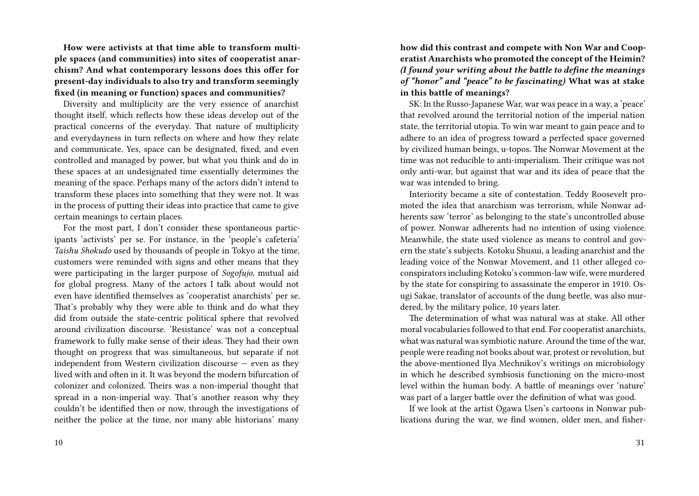**How were activists at that time able to transform multiple spaces (and communities) into sites of cooperatist anarchism? And what contemporary lessons does this offer for present-day individuals to also try and transform seemingly fixed (in meaning or function) spaces and communities?**

Diversity and multiplicity are the very essence of anarchist thought itself, which reflects how these ideas develop out of the practical concerns of the everyday. That nature of multiplicity and everydayness in turn reflects on where and how they relate and communicate. Yes, space can be designated, fixed, and even controlled and managed by power, but what you think and do in these spaces at an undesignated time essentially determines the meaning of the space. Perhaps many of the actors didn't intend to transform these places into something that they were not. It was in the process of putting their ideas into practice that came to give certain meanings to certain places.

For the most part, I don't consider these spontaneous participants 'activists' per se. For instance, in the 'people's cafeteria' *Taishu Shokudo* used by thousands of people in Tokyo at the time, customers were reminded with signs and other means that they were participating in the larger purpose of *Sogofujo*, mutual aid for global progress. Many of the actors I talk about would not even have identified themselves as 'cooperatist anarchists' per se. That's probably why they were able to think and do what they did from outside the state-centric political sphere that revolved around civilization discourse. 'Resistance' was not a conceptual framework to fully make sense of their ideas. They had their own thought on progress that was simultaneous, but separate if not independent from Western civilization discourse — even as they lived with and often in it. It was beyond the modern bifurcation of colonizer and colonized. Theirs was a non-imperial thought that spread in a non-imperial way. That's another reason why they couldn't be identified then or now, through the investigations of neither the police at the time, nor many able historians' many

**how did this contrast and compete with Non War and Cooperatist Anarchists who promoted the concept of the Heimin?** *(I found your writing about the battle to define the meanings of "honor" and "peace" to be fascinating)* **What was at stake in this battle of meanings?**

SK: In the Russo-Japanese War, war was peace in a way, a 'peace' that revolved around the territorial notion of the imperial nation state, the territorial utopia. To win war meant to gain peace and to adhere to an idea of progress toward a perfected space governed by civilized human beings, u-topos. The Nonwar Movement at the time was not reducible to anti-imperialism. Their critique was not only anti-war, but against that war and its idea of peace that the war was intended to bring.

Interiority became a site of contestation. Teddy Roosevelt promoted the idea that anarchism was terrorism, while Nonwar adherents saw 'terror' as belonging to the state's uncontrolled abuse of power. Nonwar adherents had no intention of using violence. Meanwhile, the state used violence as means to control and govern the state's subjects. Kotoku Shusui, a leading anarchist and the leading voice of the Nonwar Movement, and 11 other alleged coconspirators including Kotoku's common-law wife, were murdered by the state for conspiring to assassinate the emperor in 1910. Osugi Sakae, translator of accounts of the dung beetle, was also murdered, by the military police, 10 years later.

The determination of what was natural was at stake. All other moral vocabularies followed to that end. For cooperatist anarchists, what was natural was symbiotic nature. Around the time of the war, people were reading not books about war, protest or revolution, but the above-mentioned Ilya Mechnikov's writings on microbiology in which he described symbiosis functioning on the micro-most level within the human body. A battle of meanings over 'nature' was part of a larger battle over the definition of what was good.

If we look at the artist Ogawa Usen's cartoons in Nonwar publications during the war, we find women, older men, and fisher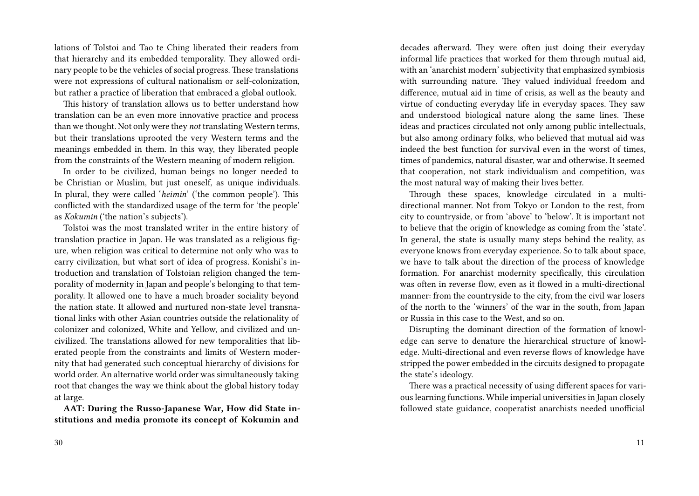lations of Tolstoi and Tao te Ching liberated their readers from that hierarchy and its embedded temporality. They allowed ordinary people to be the vehicles of social progress. These translations were not expressions of cultural nationalism or self-colonization, but rather a practice of liberation that embraced a global outlook.

This history of translation allows us to better understand how translation can be an even more innovative practice and process than we thought. Not only were they *not* translating Western terms, but their translations uprooted the very Western terms and the meanings embedded in them. In this way, they liberated people from the constraints of the Western meaning of modern religion.

In order to be civilized, human beings no longer needed to be Christian or Muslim, but just oneself, as unique individuals. In plural, they were called '*heimin*' ('the common people'). This conflicted with the standardized usage of the term for 'the people' as *Kokumin* ('the nation's subjects').

Tolstoi was the most translated writer in the entire history of translation practice in Japan. He was translated as a religious figure, when religion was critical to determine not only who was to carry civilization, but what sort of idea of progress. Konishi's introduction and translation of Tolstoian religion changed the temporality of modernity in Japan and people's belonging to that temporality. It allowed one to have a much broader sociality beyond the nation state. It allowed and nurtured non-state level transnational links with other Asian countries outside the relationality of colonizer and colonized, White and Yellow, and civilized and uncivilized. The translations allowed for new temporalities that liberated people from the constraints and limits of Western modernity that had generated such conceptual hierarchy of divisions for world order. An alternative world order was simultaneously taking root that changes the way we think about the global history today at large.

**AAT: During the Russo-Japanese War, How did State institutions and media promote its concept of Kokumin and**

decades afterward. They were often just doing their everyday informal life practices that worked for them through mutual aid, with an 'anarchist modern' subjectivity that emphasized symbiosis with surrounding nature. They valued individual freedom and difference, mutual aid in time of crisis, as well as the beauty and virtue of conducting everyday life in everyday spaces. They saw and understood biological nature along the same lines. These ideas and practices circulated not only among public intellectuals, but also among ordinary folks, who believed that mutual aid was indeed the best function for survival even in the worst of times, times of pandemics, natural disaster, war and otherwise. It seemed that cooperation, not stark individualism and competition, was the most natural way of making their lives better.

Through these spaces, knowledge circulated in a multidirectional manner. Not from Tokyo or London to the rest, from city to countryside, or from 'above' to 'below'. It is important not to believe that the origin of knowledge as coming from the 'state'. In general, the state is usually many steps behind the reality, as everyone knows from everyday experience. So to talk about space, we have to talk about the direction of the process of knowledge formation. For anarchist modernity specifically, this circulation was often in reverse flow, even as it flowed in a multi-directional manner: from the countryside to the city, from the civil war losers of the north to the 'winners' of the war in the south, from Japan or Russia in this case to the West, and so on.

Disrupting the dominant direction of the formation of knowledge can serve to denature the hierarchical structure of knowledge. Multi-directional and even reverse flows of knowledge have stripped the power embedded in the circuits designed to propagate the state's ideology.

There was a practical necessity of using different spaces for various learning functions. While imperial universities in Japan closely followed state guidance, cooperatist anarchists needed unofficial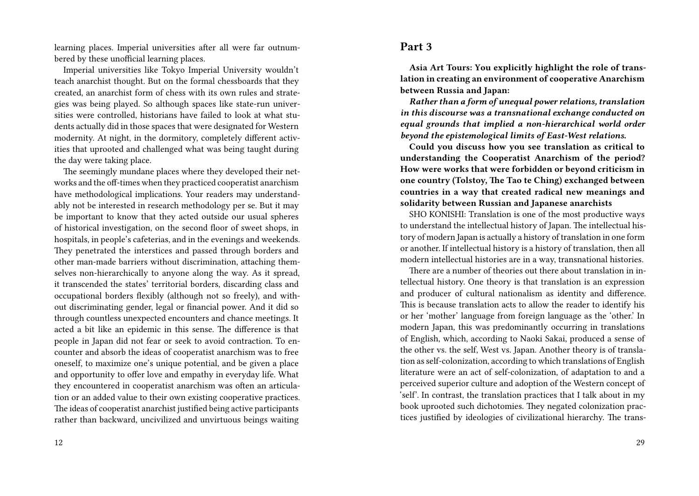learning places. Imperial universities after all were far outnumbered by these unofficial learning places.

Imperial universities like Tokyo Imperial University wouldn't teach anarchist thought. But on the formal chessboards that they created, an anarchist form of chess with its own rules and strategies was being played. So although spaces like state-run universities were controlled, historians have failed to look at what students actually did in those spaces that were designated for Western modernity. At night, in the dormitory, completely different activities that uprooted and challenged what was being taught during the day were taking place.

The seemingly mundane places where they developed their networks and the off-times when they practiced cooperatist anarchism have methodological implications. Your readers may understandably not be interested in research methodology per se. But it may be important to know that they acted outside our usual spheres of historical investigation, on the second floor of sweet shops, in hospitals, in people's cafeterias, and in the evenings and weekends. They penetrated the interstices and passed through borders and other man-made barriers without discrimination, attaching themselves non-hierarchically to anyone along the way. As it spread, it transcended the states' territorial borders, discarding class and occupational borders flexibly (although not so freely), and without discriminating gender, legal or financial power. And it did so through countless unexpected encounters and chance meetings. It acted a bit like an epidemic in this sense. The difference is that people in Japan did not fear or seek to avoid contraction. To encounter and absorb the ideas of cooperatist anarchism was to free oneself, to maximize one's unique potential, and be given a place and opportunity to offer love and empathy in everyday life. What they encountered in cooperatist anarchism was often an articulation or an added value to their own existing cooperative practices. The ideas of cooperatist anarchist justified being active participants rather than backward, uncivilized and unvirtuous beings waiting

### **Part 3**

**Asia Art Tours: You explicitly highlight the role of translation in creating an environment of cooperative Anarchism between Russia and Japan:**

*Rather than a form of unequal power relations, translation in this discourse was a transnational exchange conducted on equal grounds that implied a non-hierarchical world order beyond the epistemological limits of East-West relations.*

**Could you discuss how you see translation as critical to understanding the Cooperatist Anarchism of the period? How were works that were forbidden or beyond criticism in one country (Tolstoy, The Tao te Ching) exchanged between countries in a way that created radical new meanings and solidarity between Russian and Japanese anarchists**

SHO KONISHI: Translation is one of the most productive ways to understand the intellectual history of Japan. The intellectual history of modern Japan is actually a history of translation in one form or another. If intellectual history is a history of translation, then all modern intellectual histories are in a way, transnational histories.

There are a number of theories out there about translation in intellectual history. One theory is that translation is an expression and producer of cultural nationalism as identity and difference. This is because translation acts to allow the reader to identify his or her 'mother' language from foreign language as the 'other.' In modern Japan, this was predominantly occurring in translations of English, which, according to Naoki Sakai, produced a sense of the other vs. the self, West vs. Japan. Another theory is of translation as self-colonization, according to which translations of English literature were an act of self-colonization, of adaptation to and a perceived superior culture and adoption of the Western concept of 'self'. In contrast, the translation practices that I talk about in my book uprooted such dichotomies. They negated colonization practices justified by ideologies of civilizational hierarchy. The trans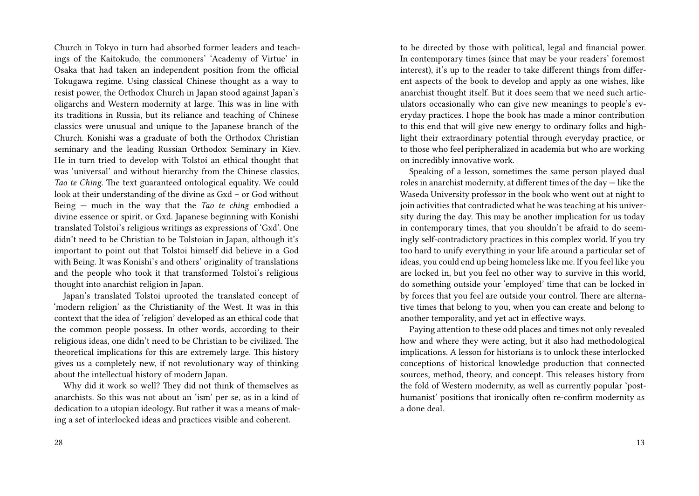Church in Tokyo in turn had absorbed former leaders and teachings of the Kaitokudo, the commoners' 'Academy of Virtue' in Osaka that had taken an independent position from the official Tokugawa regime. Using classical Chinese thought as a way to resist power, the Orthodox Church in Japan stood against Japan's oligarchs and Western modernity at large. This was in line with its traditions in Russia, but its reliance and teaching of Chinese classics were unusual and unique to the Japanese branch of the Church. Konishi was a graduate of both the Orthodox Christian seminary and the leading Russian Orthodox Seminary in Kiev. He in turn tried to develop with Tolstoi an ethical thought that was 'universal' and without hierarchy from the Chinese classics, *Tao te Ching*. The text guaranteed ontological equality. We could look at their understanding of the divine as Gxd – or God without Being — much in the way that the *Tao te ching* embodied a divine essence or spirit, or Gxd. Japanese beginning with Konishi translated Tolstoi's religious writings as expressions of 'Gxd'. One didn't need to be Christian to be Tolstoian in Japan, although it's important to point out that Tolstoi himself did believe in a God with Being. It was Konishi's and others' originality of translations and the people who took it that transformed Tolstoi's religious thought into anarchist religion in Japan.

Japan's translated Tolstoi uprooted the translated concept of 'modern religion' as the Christianity of the West. It was in this context that the idea of 'religion' developed as an ethical code that the common people possess. In other words, according to their religious ideas, one didn't need to be Christian to be civilized. The theoretical implications for this are extremely large. This history gives us a completely new, if not revolutionary way of thinking about the intellectual history of modern Japan.

Why did it work so well? They did not think of themselves as anarchists. So this was not about an 'ism' per se, as in a kind of dedication to a utopian ideology. But rather it was a means of making a set of interlocked ideas and practices visible and coherent.

to be directed by those with political, legal and financial power. In contemporary times (since that may be your readers' foremost interest), it's up to the reader to take different things from different aspects of the book to develop and apply as one wishes, like anarchist thought itself. But it does seem that we need such articulators occasionally who can give new meanings to people's everyday practices. I hope the book has made a minor contribution to this end that will give new energy to ordinary folks and highlight their extraordinary potential through everyday practice, or to those who feel peripheralized in academia but who are working on incredibly innovative work.

Speaking of a lesson, sometimes the same person played dual roles in anarchist modernity, at different times of the day — like the Waseda University professor in the book who went out at night to join activities that contradicted what he was teaching at his university during the day. This may be another implication for us today in contemporary times, that you shouldn't be afraid to do seemingly self-contradictory practices in this complex world. If you try too hard to unify everything in your life around a particular set of ideas, you could end up being homeless like me. If you feel like you are locked in, but you feel no other way to survive in this world, do something outside your 'employed' time that can be locked in by forces that you feel are outside your control. There are alternative times that belong to you, when you can create and belong to another temporality, and yet act in effective ways.

Paying attention to these odd places and times not only revealed how and where they were acting, but it also had methodological implications. A lesson for historians is to unlock these interlocked conceptions of historical knowledge production that connected sources, method, theory, and concept. This releases history from the fold of Western modernity, as well as currently popular 'posthumanist' positions that ironically often re-confirm modernity as a done deal.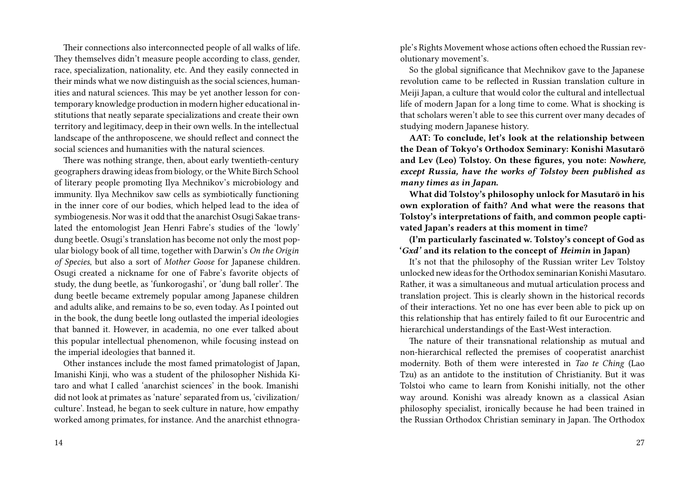Their connections also interconnected people of all walks of life. They themselves didn't measure people according to class, gender, race, specialization, nationality, etc. And they easily connected in their minds what we now distinguish as the social sciences, humanities and natural sciences. This may be yet another lesson for contemporary knowledge production in modern higher educational institutions that neatly separate specializations and create their own territory and legitimacy, deep in their own wells. In the intellectual landscape of the anthroposcene, we should reflect and connect the social sciences and humanities with the natural sciences.

There was nothing strange, then, about early twentieth-century geographers drawing ideas from biology, or the White Birch School of literary people promoting Ilya Mechnikov's microbiology and immunity. Ilya Mechnikov saw cells as symbiotically functioning in the inner core of our bodies, which helped lead to the idea of symbiogenesis. Nor was it odd that the anarchist Osugi Sakae translated the entomologist Jean Henri Fabre's studies of the 'lowly' dung beetle. Osugi's translation has become not only the most popular biology book of all time, together with Darwin's *On the Origin of Species*, but also a sort of *Mother Goose* for Japanese children. Osugi created a nickname for one of Fabre's favorite objects of study, the dung beetle, as 'funkorogashi', or 'dung ball roller'. The dung beetle became extremely popular among Japanese children and adults alike, and remains to be so, even today. As I pointed out in the book, the dung beetle long outlasted the imperial ideologies that banned it. However, in academia, no one ever talked about this popular intellectual phenomenon, while focusing instead on the imperial ideologies that banned it.

Other instances include the most famed primatologist of Japan, Imanishi Kinji, who was a student of the philosopher Nishida Kitaro and what I called 'anarchist sciences' in the book. Imanishi did not look at primates as 'nature' separated from us, 'civilization/ culture'. Instead, he began to seek culture in nature, how empathy worked among primates, for instance. And the anarchist ethnogra-

ple's Rights Movement whose actions often echoed the Russian revolutionary movement's.

So the global significance that Mechnikov gave to the Japanese revolution came to be reflected in Russian translation culture in Meiji Japan, a culture that would color the cultural and intellectual life of modern Japan for a long time to come. What is shocking is that scholars weren't able to see this current over many decades of studying modern Japanese history.

**AAT: To conclude, let's look at the relationship between the Dean of Tokyo's Orthodox Seminary: Konishi Masutarō and Lev (Leo) Tolstoy. On these figures, you note:** *Nowhere, except Russia, have the works of Tolstoy been published as many times as in Japan.*

**What did Tolstoy's philosophy unlock for Masutarō in his own exploration of faith? And what were the reasons that Tolstoy's interpretations of faith, and common people captivated Japan's readers at this moment in time?**

**(I'm particularly fascinated w. Tolstoy's concept of God as '***Gxd'* **and its relation to the concept of** *Heimin* **in Japan)**

It's not that the philosophy of the Russian writer Lev Tolstoy unlocked new ideas for the Orthodox seminarian Konishi Masutaro. Rather, it was a simultaneous and mutual articulation process and translation project. This is clearly shown in the historical records of their interactions. Yet no one has ever been able to pick up on this relationship that has entirely failed to fit our Eurocentric and hierarchical understandings of the East-West interaction.

The nature of their transnational relationship as mutual and non-hierarchical reflected the premises of cooperatist anarchist modernity. Both of them were interested in *Tao te Ching* (Lao Tzu) as an antidote to the institution of Christianity. But it was Tolstoi who came to learn from Konishi initially, not the other way around. Konishi was already known as a classical Asian philosophy specialist, ironically because he had been trained in the Russian Orthodox Christian seminary in Japan. The Orthodox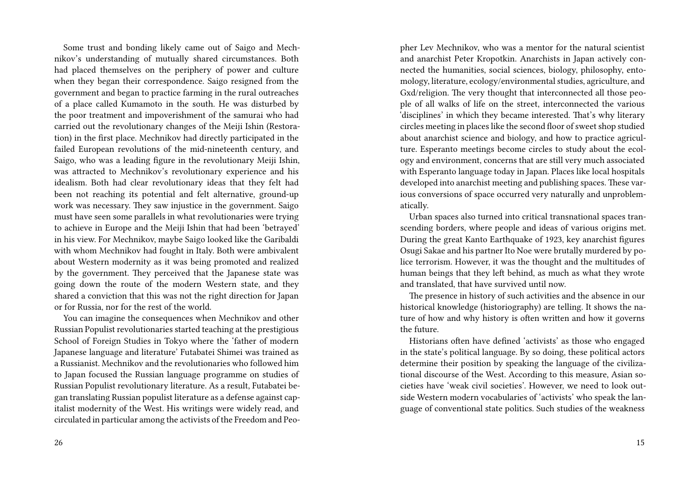Some trust and bonding likely came out of Saigo and Mechnikov's understanding of mutually shared circumstances. Both had placed themselves on the periphery of power and culture when they began their correspondence. Saigo resigned from the government and began to practice farming in the rural outreaches of a place called Kumamoto in the south. He was disturbed by the poor treatment and impoverishment of the samurai who had carried out the revolutionary changes of the Meiji Ishin (Restoration) in the first place. Mechnikov had directly participated in the failed European revolutions of the mid-nineteenth century, and Saigo, who was a leading figure in the revolutionary Meiji Ishin, was attracted to Mechnikov's revolutionary experience and his idealism. Both had clear revolutionary ideas that they felt had been not reaching its potential and felt alternative, ground-up work was necessary. They saw injustice in the government. Saigo must have seen some parallels in what revolutionaries were trying to achieve in Europe and the Meiji Ishin that had been 'betrayed' in his view. For Mechnikov, maybe Saigo looked like the Garibaldi with whom Mechnikov had fought in Italy. Both were ambivalent about Western modernity as it was being promoted and realized by the government. They perceived that the Japanese state was going down the route of the modern Western state, and they shared a conviction that this was not the right direction for Japan or for Russia, nor for the rest of the world.

You can imagine the consequences when Mechnikov and other Russian Populist revolutionaries started teaching at the prestigious School of Foreign Studies in Tokyo where the 'father of modern Japanese language and literature' Futabatei Shimei was trained as a Russianist. Mechnikov and the revolutionaries who followed him to Japan focused the Russian language programme on studies of Russian Populist revolutionary literature. As a result, Futabatei began translating Russian populist literature as a defense against capitalist modernity of the West. His writings were widely read, and circulated in particular among the activists of the Freedom and Peo-

pher Lev Mechnikov, who was a mentor for the natural scientist and anarchist Peter Kropotkin. Anarchists in Japan actively connected the humanities, social sciences, biology, philosophy, entomology, literature, ecology/environmental studies, agriculture, and Gxd/religion. The very thought that interconnected all those people of all walks of life on the street, interconnected the various 'disciplines' in which they became interested. That's why literary circles meeting in places like the second floor of sweet shop studied about anarchist science and biology, and how to practice agriculture. Esperanto meetings become circles to study about the ecology and environment, concerns that are still very much associated with Esperanto language today in Japan. Places like local hospitals developed into anarchist meeting and publishing spaces. These various conversions of space occurred very naturally and unproblematically.

Urban spaces also turned into critical transnational spaces transcending borders, where people and ideas of various origins met. During the great Kanto Earthquake of 1923, key anarchist figures Osugi Sakae and his partner Ito Noe were brutally murdered by police terrorism. However, it was the thought and the multitudes of human beings that they left behind, as much as what they wrote and translated, that have survived until now.

The presence in history of such activities and the absence in our historical knowledge (historiography) are telling. It shows the nature of how and why history is often written and how it governs the future.

Historians often have defined 'activists' as those who engaged in the state's political language. By so doing, these political actors determine their position by speaking the language of the civilizational discourse of the West. According to this measure, Asian societies have 'weak civil societies'. However, we need to look outside Western modern vocabularies of 'activists' who speak the language of conventional state politics. Such studies of the weakness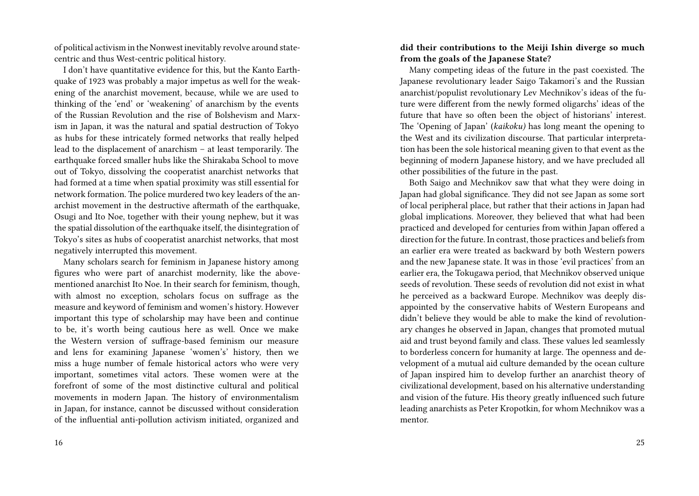of political activism in the Nonwest inevitably revolve around statecentric and thus West-centric political history.

I don't have quantitative evidence for this, but the Kanto Earthquake of 1923 was probably a major impetus as well for the weakening of the anarchist movement, because, while we are used to thinking of the 'end' or 'weakening' of anarchism by the events of the Russian Revolution and the rise of Bolshevism and Marxism in Japan, it was the natural and spatial destruction of Tokyo as hubs for these intricately formed networks that really helped lead to the displacement of anarchism – at least temporarily. The earthquake forced smaller hubs like the Shirakaba School to move out of Tokyo, dissolving the cooperatist anarchist networks that had formed at a time when spatial proximity was still essential for network formation. The police murdered two key leaders of the anarchist movement in the destructive aftermath of the earthquake, Osugi and Ito Noe, together with their young nephew, but it was the spatial dissolution of the earthquake itself, the disintegration of Tokyo's sites as hubs of cooperatist anarchist networks, that most negatively interrupted this movement.

Many scholars search for feminism in Japanese history among figures who were part of anarchist modernity, like the abovementioned anarchist Ito Noe. In their search for feminism, though, with almost no exception, scholars focus on suffrage as the measure and keyword of feminism and women's history. However important this type of scholarship may have been and continue to be, it's worth being cautious here as well. Once we make the Western version of suffrage-based feminism our measure and lens for examining Japanese 'women's' history, then we miss a huge number of female historical actors who were very important, sometimes vital actors. These women were at the forefront of some of the most distinctive cultural and political movements in modern Japan. The history of environmentalism in Japan, for instance, cannot be discussed without consideration of the influential anti-pollution activism initiated, organized and

#### **did their contributions to the Meiji Ishin diverge so much from the goals of the Japanese State?**

Many competing ideas of the future in the past coexisted. The Japanese revolutionary leader Saigo Takamori's and the Russian anarchist/populist revolutionary Lev Mechnikov's ideas of the future were different from the newly formed oligarchs' ideas of the future that have so often been the object of historians' interest. The 'Opening of Japan' (*kaikoku)* has long meant the opening to the West and its civilization discourse. That particular interpretation has been the sole historical meaning given to that event as the beginning of modern Japanese history, and we have precluded all other possibilities of the future in the past.

Both Saigo and Mechnikov saw that what they were doing in Japan had global significance. They did not see Japan as some sort of local peripheral place, but rather that their actions in Japan had global implications. Moreover, they believed that what had been practiced and developed for centuries from within Japan offered a direction for the future. In contrast, those practices and beliefs from an earlier era were treated as backward by both Western powers and the new Japanese state. It was in those 'evil practices' from an earlier era, the Tokugawa period, that Mechnikov observed unique seeds of revolution. These seeds of revolution did not exist in what he perceived as a backward Europe. Mechnikov was deeply disappointed by the conservative habits of Western Europeans and didn't believe they would be able to make the kind of revolutionary changes he observed in Japan, changes that promoted mutual aid and trust beyond family and class. These values led seamlessly to borderless concern for humanity at large. The openness and development of a mutual aid culture demanded by the ocean culture of Japan inspired him to develop further an anarchist theory of civilizational development, based on his alternative understanding and vision of the future. His theory greatly influenced such future leading anarchists as Peter Kropotkin, for whom Mechnikov was a mentor.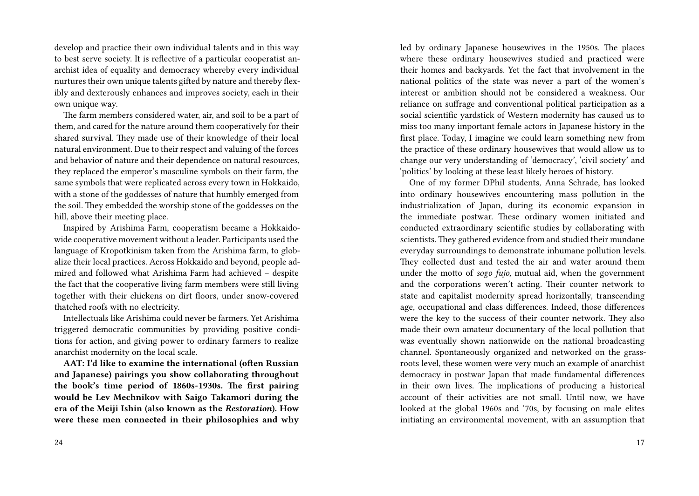develop and practice their own individual talents and in this way to best serve society. It is reflective of a particular cooperatist anarchist idea of equality and democracy whereby every individual nurtures their own unique talents gifted by nature and thereby flexibly and dexterously enhances and improves society, each in their own unique way.

The farm members considered water, air, and soil to be a part of them, and cared for the nature around them cooperatively for their shared survival. They made use of their knowledge of their local natural environment. Due to their respect and valuing of the forces and behavior of nature and their dependence on natural resources, they replaced the emperor's masculine symbols on their farm, the same symbols that were replicated across every town in Hokkaido, with a stone of the goddesses of nature that humbly emerged from the soil. They embedded the worship stone of the goddesses on the hill, above their meeting place.

Inspired by Arishima Farm, cooperatism became a Hokkaidowide cooperative movement without a leader. Participants used the language of Kropotkinism taken from the Arishima farm, to globalize their local practices. Across Hokkaido and beyond, people admired and followed what Arishima Farm had achieved – despite the fact that the cooperative living farm members were still living together with their chickens on dirt floors, under snow-covered thatched roofs with no electricity.

Intellectuals like Arishima could never be farmers. Yet Arishima triggered democratic communities by providing positive conditions for action, and giving power to ordinary farmers to realize anarchist modernity on the local scale.

**AAT: I'd like to examine the international (often Russian and Japanese) pairings you show collaborating throughout the book's time period of 1860s-1930s. The first pairing would be Lev Mechnikov with Saigo Takamori during the era of the Meiji Ishin (also known as the** *Restoration***). How were these men connected in their philosophies and why** led by ordinary Japanese housewives in the 1950s. The places where these ordinary housewives studied and practiced were their homes and backyards. Yet the fact that involvement in the national politics of the state was never a part of the women's interest or ambition should not be considered a weakness. Our reliance on suffrage and conventional political participation as a social scientific yardstick of Western modernity has caused us to miss too many important female actors in Japanese history in the first place. Today, I imagine we could learn something new from the practice of these ordinary housewives that would allow us to change our very understanding of 'democracy', 'civil society' and 'politics' by looking at these least likely heroes of history.

One of my former DPhil students, Anna Schrade, has looked into ordinary housewives encountering mass pollution in the industrialization of Japan, during its economic expansion in the immediate postwar. These ordinary women initiated and conducted extraordinary scientific studies by collaborating with scientists. They gathered evidence from and studied their mundane everyday surroundings to demonstrate inhumane pollution levels. They collected dust and tested the air and water around them under the motto of *sogo fujo,* mutual aid, when the government and the corporations weren't acting. Their counter network to state and capitalist modernity spread horizontally, transcending age, occupational and class differences. Indeed, those differences were the key to the success of their counter network. They also made their own amateur documentary of the local pollution that was eventually shown nationwide on the national broadcasting channel. Spontaneously organized and networked on the grassroots level, these women were very much an example of anarchist democracy in postwar Japan that made fundamental differences in their own lives. The implications of producing a historical account of their activities are not small. Until now, we have looked at the global 1960s and '70s, by focusing on male elites initiating an environmental movement, with an assumption that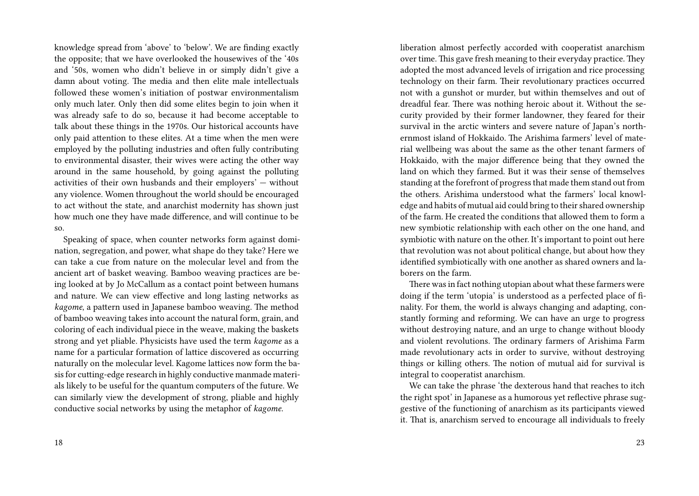knowledge spread from 'above' to 'below'. We are finding exactly the opposite; that we have overlooked the housewives of the '40s and '50s, women who didn't believe in or simply didn't give a damn about voting. The media and then elite male intellectuals followed these women's initiation of postwar environmentalism only much later. Only then did some elites begin to join when it was already safe to do so, because it had become acceptable to talk about these things in the 1970s. Our historical accounts have only paid attention to these elites. At a time when the men were employed by the polluting industries and often fully contributing to environmental disaster, their wives were acting the other way around in the same household, by going against the polluting activities of their own husbands and their employers' — without any violence. Women throughout the world should be encouraged to act without the state, and anarchist modernity has shown just how much one they have made difference, and will continue to be so.

Speaking of space, when counter networks form against domination, segregation, and power, what shape do they take? Here we can take a cue from nature on the molecular level and from the ancient art of basket weaving. Bamboo weaving practices are being looked at by Jo McCallum as a contact point between humans and nature. We can view effective and long lasting networks as *kagome*, a pattern used in Japanese bamboo weaving. The method of bamboo weaving takes into account the natural form, grain, and coloring of each individual piece in the weave, making the baskets strong and yet pliable. Physicists have used the term *kagome* as a name for a particular formation of lattice discovered as occurring naturally on the molecular level. Kagome lattices now form the basis for cutting-edge research in highly conductive manmade materials likely to be useful for the quantum computers of the future. We can similarly view the development of strong, pliable and highly conductive social networks by using the metaphor of *kagome*.

liberation almost perfectly accorded with cooperatist anarchism over time. This gave fresh meaning to their everyday practice. They adopted the most advanced levels of irrigation and rice processing technology on their farm. Their revolutionary practices occurred not with a gunshot or murder, but within themselves and out of dreadful fear. There was nothing heroic about it. Without the security provided by their former landowner, they feared for their survival in the arctic winters and severe nature of Japan's northernmost island of Hokkaido. The Arishima farmers' level of material wellbeing was about the same as the other tenant farmers of Hokkaido, with the major difference being that they owned the land on which they farmed. But it was their sense of themselves standing at the forefront of progress that made them stand out from the others. Arishima understood what the farmers' local knowledge and habits of mutual aid could bring to their shared ownership of the farm. He created the conditions that allowed them to form a new symbiotic relationship with each other on the one hand, and symbiotic with nature on the other. It's important to point out here that revolution was not about political change, but about how they identified symbiotically with one another as shared owners and laborers on the farm.

There was in fact nothing utopian about what these farmers were doing if the term 'utopia' is understood as a perfected place of finality. For them, the world is always changing and adapting, constantly forming and reforming. We can have an urge to progress without destroying nature, and an urge to change without bloody and violent revolutions. The ordinary farmers of Arishima Farm made revolutionary acts in order to survive, without destroying things or killing others. The notion of mutual aid for survival is integral to cooperatist anarchism.

We can take the phrase 'the dexterous hand that reaches to itch the right spot' in Japanese as a humorous yet reflective phrase suggestive of the functioning of anarchism as its participants viewed it. That is, anarchism served to encourage all individuals to freely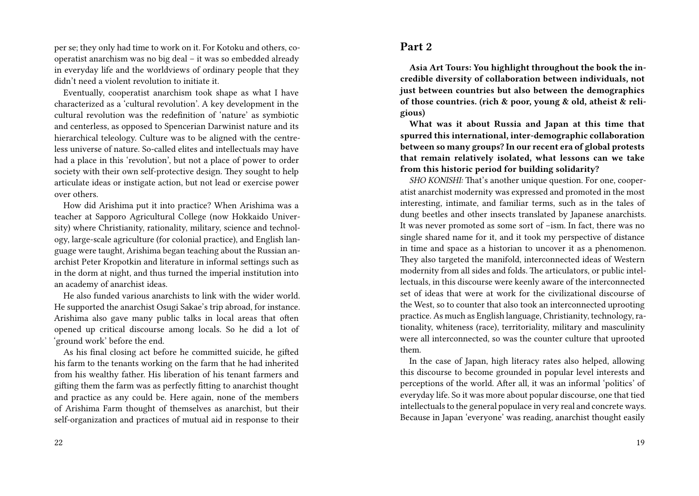per se; they only had time to work on it. For Kotoku and others, cooperatist anarchism was no big deal – it was so embedded already in everyday life and the worldviews of ordinary people that they didn't need a violent revolution to initiate it.

Eventually, cooperatist anarchism took shape as what I have characterized as a 'cultural revolution'. A key development in the cultural revolution was the redefinition of 'nature' as symbiotic and centerless, as opposed to Spencerian Darwinist nature and its hierarchical teleology. Culture was to be aligned with the centreless universe of nature. So-called elites and intellectuals may have had a place in this 'revolution', but not a place of power to order society with their own self-protective design. They sought to help articulate ideas or instigate action, but not lead or exercise power over others.

How did Arishima put it into practice? When Arishima was a teacher at Sapporo Agricultural College (now Hokkaido University) where Christianity, rationality, military, science and technology, large-scale agriculture (for colonial practice), and English language were taught, Arishima began teaching about the Russian anarchist Peter Kropotkin and literature in informal settings such as in the dorm at night, and thus turned the imperial institution into an academy of anarchist ideas.

He also funded various anarchists to link with the wider world. He supported the anarchist Osugi Sakae's trip abroad, for instance. Arishima also gave many public talks in local areas that often opened up critical discourse among locals. So he did a lot of 'ground work' before the end.

As his final closing act before he committed suicide, he gifted his farm to the tenants working on the farm that he had inherited from his wealthy father. His liberation of his tenant farmers and gifting them the farm was as perfectly fitting to anarchist thought and practice as any could be. Here again, none of the members of Arishima Farm thought of themselves as anarchist, but their self-organization and practices of mutual aid in response to their

#### 22

**Part 2**

**Asia Art Tours: You highlight throughout the book the incredible diversity of collaboration between individuals, not just between countries but also between the demographics of those countries. (rich & poor, young & old, atheist & religious)**

**What was it about Russia and Japan at this time that spurred this international, inter-demographic collaboration between so many groups? In our recent era of global protests that remain relatively isolated, what lessons can we take from this historic period for building solidarity?**

*SHO KONISHI:* That's another unique question. For one, cooperatist anarchist modernity was expressed and promoted in the most interesting, intimate, and familiar terms, such as in the tales of dung beetles and other insects translated by Japanese anarchists. It was never promoted as some sort of –ism. In fact, there was no single shared name for it, and it took my perspective of distance in time and space as a historian to uncover it as a phenomenon. They also targeted the manifold, interconnected ideas of Western modernity from all sides and folds. The articulators, or public intellectuals, in this discourse were keenly aware of the interconnected set of ideas that were at work for the civilizational discourse of the West, so to counter that also took an interconnected uprooting practice. As much as English language, Christianity, technology, rationality, whiteness (race), territoriality, military and masculinity were all interconnected, so was the counter culture that uprooted them.

In the case of Japan, high literacy rates also helped, allowing this discourse to become grounded in popular level interests and perceptions of the world. After all, it was an informal 'politics' of everyday life. So it was more about popular discourse, one that tied intellectuals to the general populace in very real and concrete ways. Because in Japan 'everyone' was reading, anarchist thought easily